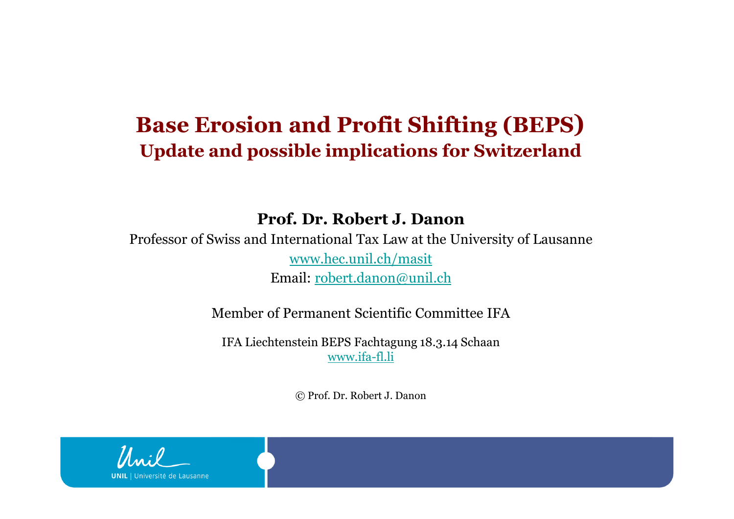### **Base Erosion and Profit Shifting (BEPS)Update and possible implications for Switzerland**

**Prof. Dr. Robert J. Danon**

Professor of Swiss and International Tax Law at the University of Lausanne www.hec.unil.ch/masitEmail: robert.danon@unil.ch

Member of Permanent Scientific Committee IFA

IFA Liechtenstein BEPS Fachtagung 18.3.14 Schaanwww.ifa-fl.li

© Prof. Dr. Robert J. Danon

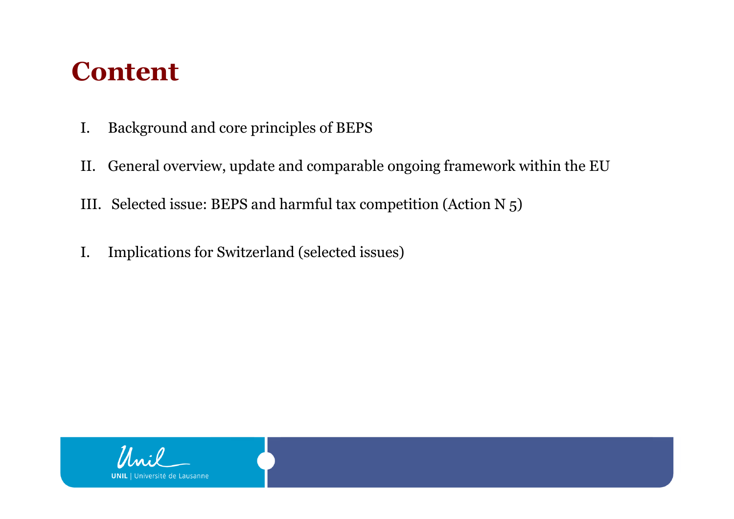## **Content**

- I. Background and core principles of BEPS
- II. General overview, update and comparable ongoing framework within the EU
- III. Selected issue: BEPS and harmful tax competition (Action N 5)
- I. Implications for Switzerland (selected issues)

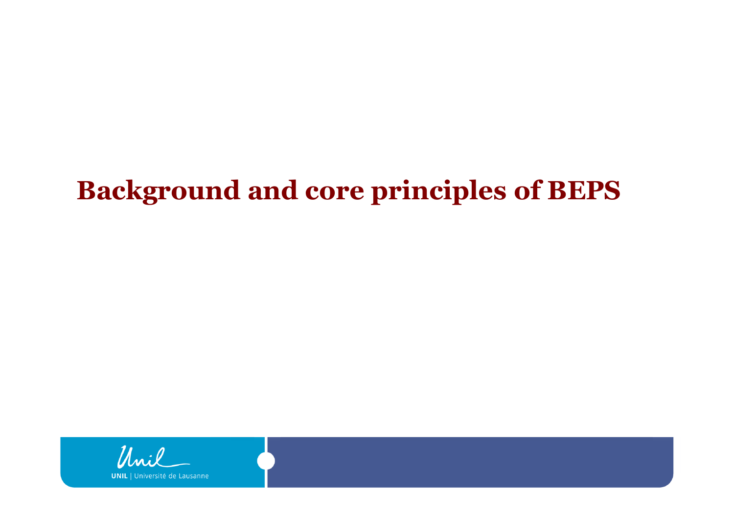## **Background and core principles of BEPS**

Muil **UNIL** Université de Lausanne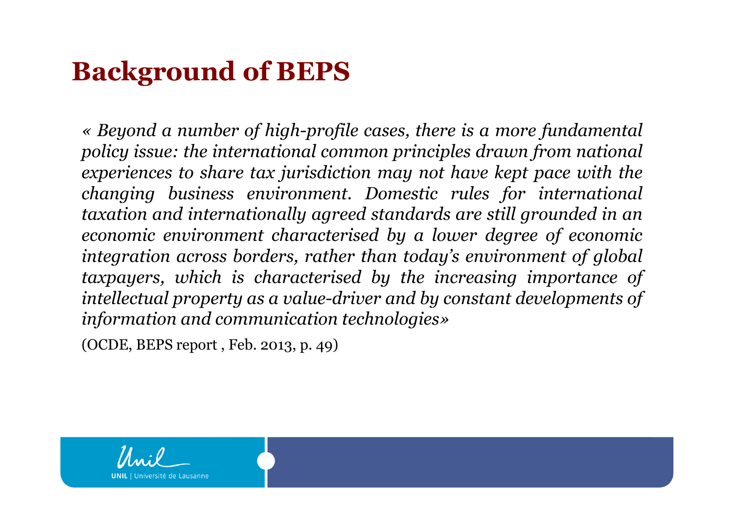## **Background of BEPS**

« Beyond a number of high-profile cases, there is a more fundamental<br>policu issue: the international common principles drawn from national *policy issue: the international common principles drawn from national* experiences to share tax jurisdiction may not have kept pace with the *changing business environment. Domestic rules for international taxation and internationally agreed standards are still grounded in an economic environment characterised by <sup>a</sup> lower degree of economic integration across borders, rather than today's environment of global taxpayers, which is characterised by the increasing importance of intellectual property as <sup>a</sup> value-driver and by constant developments of information and communication technologies»*

(OCDE, BEPS report , Feb. 2013, p. 49)

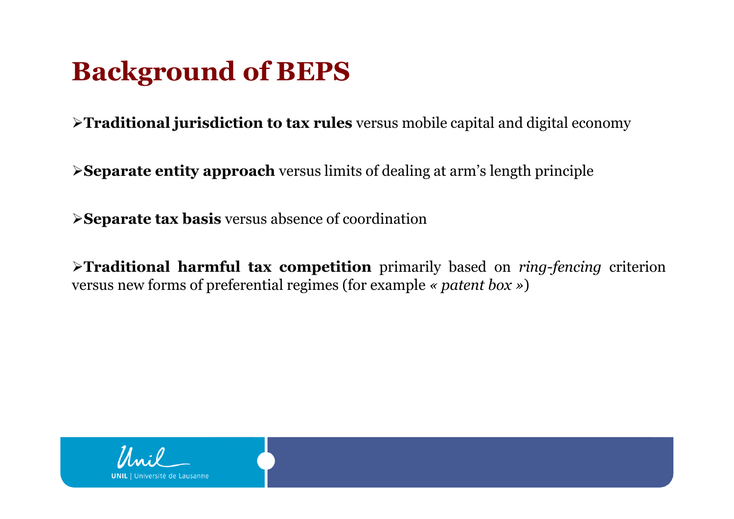## **Background of BEPS**

**Traditional jurisdiction to tax rules** versus mobile capital and digital economy

**Separate entity approach** versus limits of dealing at arm's length principle

**Separate tax basis** versus absence of coordination

**Traditional harmful tax competition** primarily based on *ring-fencing* criterion versus new forms of preferential regimes (for example *« patent box »* )

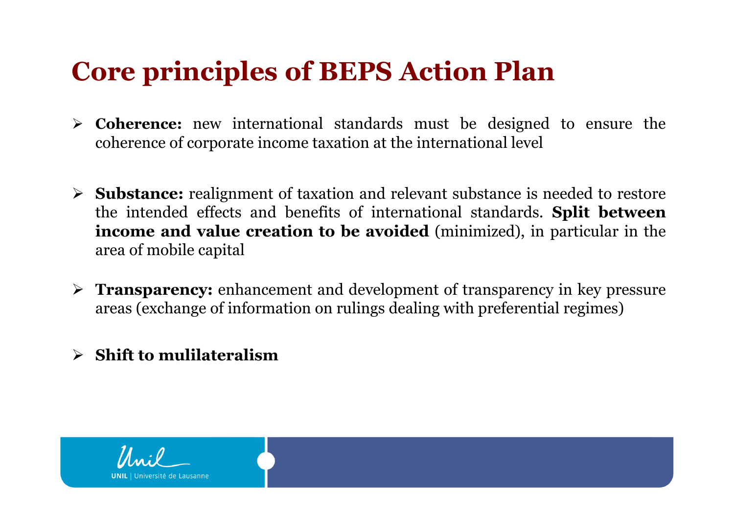## **Core principles of BEPS Action Plan**

- **Coherence:** new international standards must be designed to ensure the coherence of corporate income taxation at the international level coherence of corporate income taxation at the international level
- **Substance:** realignment of taxation and relevant substance is needed to restore<br>the intended effects and benefits of international standards. **Split hetween** the intended effects and benefits of international standards. **Split between income and value creation to be avoided** (minimized), in particular in the area of mobile capital
- **Transparency:** enhancement and development of transparency in key pressure<br>areas (exchange of information on rulings dealing with preferential regimes) areas (exchange of information on rulings dealing with preferential regimes)
- **Shift to mulilateralism**

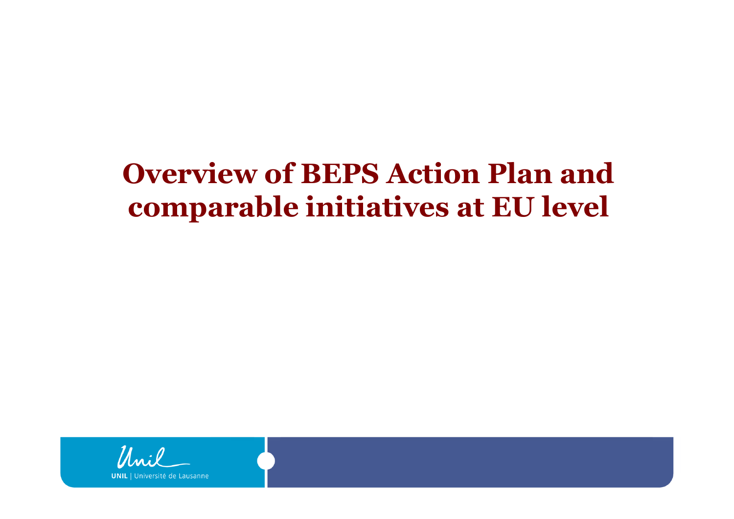## **Overview of BEPS Action Plan and comparable initiatives at EU level**

Lausanne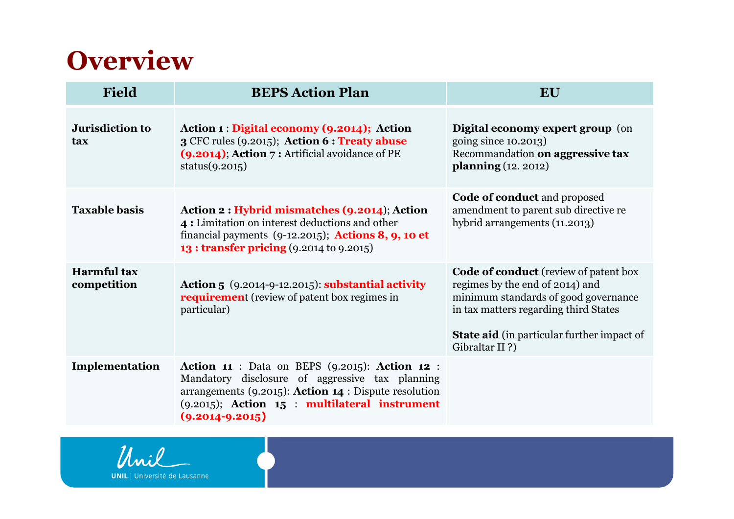## **Overview**

| <b>Field</b>                      | <b>BEPS Action Plan</b>                                                                                                                                                                                                                        | EU                                                                                                                                                                                                                                      |
|-----------------------------------|------------------------------------------------------------------------------------------------------------------------------------------------------------------------------------------------------------------------------------------------|-----------------------------------------------------------------------------------------------------------------------------------------------------------------------------------------------------------------------------------------|
| <b>Jurisdiction to</b><br>tax     | Action 1 : Digital economy (9.2014); Action<br>3 CFC rules (9.2015); Action 6 : Treaty abuse<br>(9.2014); Action 7 : Artificial avoidance of PE<br>status $(9.2015)$                                                                           | Digital economy expert group (on<br>going since 10.2013)<br>Recommandation on aggressive tax<br><b>planning</b> (12. 2012)                                                                                                              |
| <b>Taxable basis</b>              | Action 2 : Hybrid mismatches (9.2014); Action<br>4: Limitation on interest deductions and other<br>financial payments $(9-12.2015)$ ; Actions 8, 9, 10 et<br>13 : transfer pricing (9.2014 to 9.2015)                                          | <b>Code of conduct</b> and proposed<br>amendment to parent sub directive re<br>hybrid arrangements (11.2013)                                                                                                                            |
| <b>Harmful</b> tax<br>competition | Action 5 $(9.2014-9-12.2015)$ : substantial activity<br><b>requirement</b> (review of patent box regimes in<br>particular)                                                                                                                     | <b>Code of conduct</b> (review of patent box<br>regimes by the end of 2014) and<br>minimum standards of good governance<br>in tax matters regarding third States<br><b>State aid</b> (in particular further impact of<br>Gibraltar II?) |
| Implementation                    | <b>Action 11 : Data on BEPS (9.2015): Action 12 :</b><br>Mandatory disclosure of aggressive tax planning<br>arrangements (9.2015): Action 14 : Dispute resolution<br>$(9.2015)$ ; Action $15$ : multilateral instrument<br>$(9.2014 - 9.2015)$ |                                                                                                                                                                                                                                         |



**UNIL** | Université de Lausanne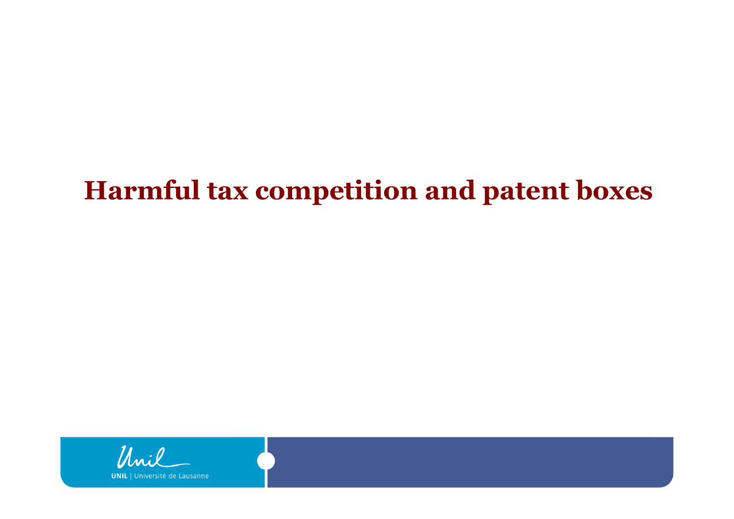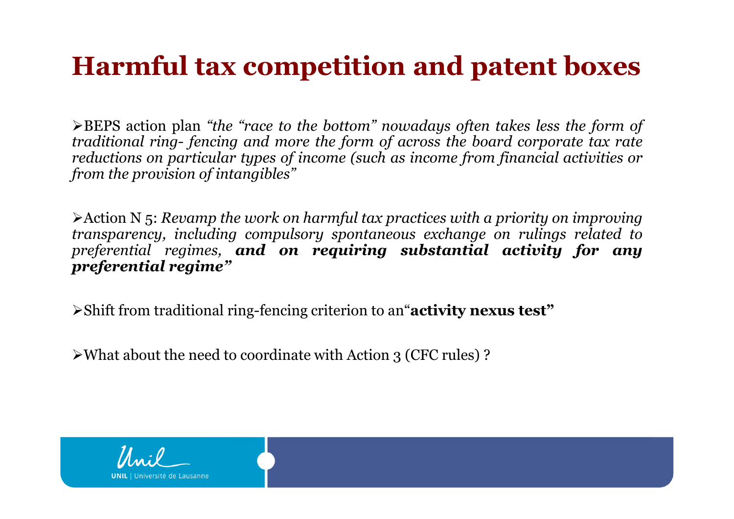$\triangleright$ BEPS action plan "the "race to the bottom" nowadays often takes less the form of traditional ring-fencing and more the form of across the board corporate tax rate reductions on particular types of income (such as income from financial activities or *from the provision of intangibles"*

 $\triangleright$  Action N 5: Revamp the work on harmful tax practices with a priority on improving *transparency, including compulsory spontaneous exchange on rulings related to preferential regimes, and on requiring substantial activity for any preferential regime"*

Shift from traditional ring-fencing criterion to an"**activity nexus test"**

What about the need to coordinate with Action <sup>3</sup> (CFC rules) ?

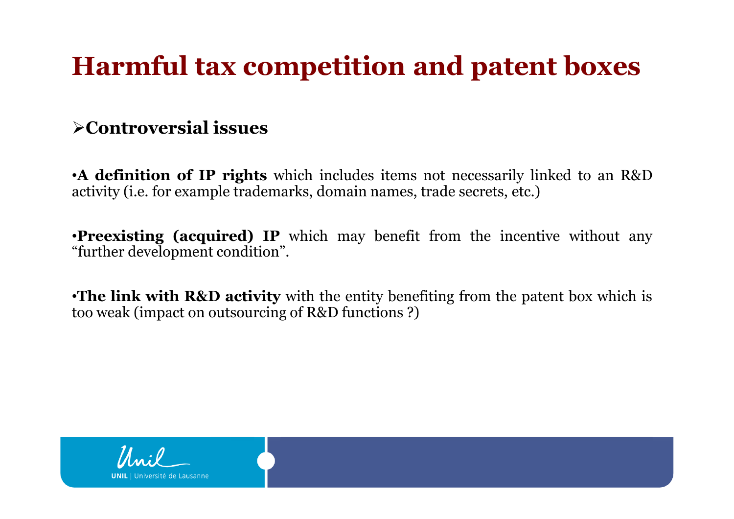### **Controversial issues**

•**<sup>A</sup> definition of IP rights** which includes items not necessarily linked to an R&D activity (i.e. for example trademarks, domain names, trade secrets, etc.)

•**Preexisting (acquired) IP** which may benefit from the incentive without any "further development condition".

•**The link with R&D activity** with the entity benefiting from the patent box which is too weak (impact on outsourcing of R&D functions ?)

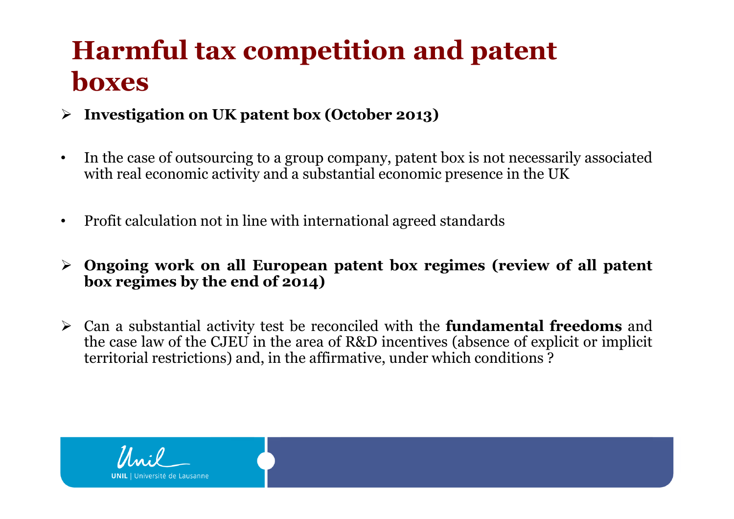- **Investigation on UK patent box (October 2013)**
- • In the case of outsourcing to <sup>a</sup> group company, patent box is not necessarily associated with real economic activity and <sup>a</sup> substantial economic presence in the UK
- •Profit calculation not in line with international agreed standards
- > Ongoing work on all European patent box regimes (review of all patent<br>hox regimes by the end of 2014) **box regimes by the end of 2014)**
- Can <sup>a</sup> substantial activity test be reconciled with the **fundamental freedoms** and the case law of the CJEU in the area of R&D incentives (absence of explicit or implicit territorial restrictions) and, in the affirmative, under which conditions ?

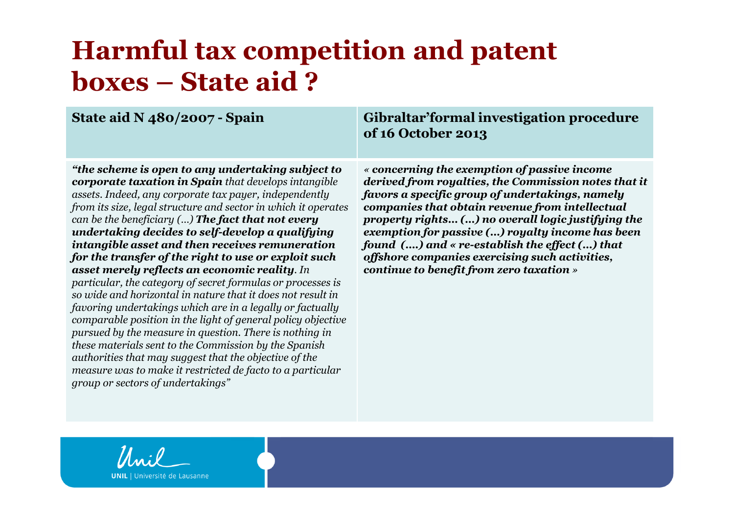# **Harmful tax competition and patent boxes – State aid ?**<br>State aid N 480/2007 - Spain

### **Gibraltar'formal investigation procedure of 16 October 2013**

*"the scheme is open to any undertaking subject to corporate taxation in Spain that develops intangible assets. Indeed, any corporate tax payer, independently from its size, legal structure and sector in which it operates can be the beneficiary (…) The fact that not every undertaking decides to self-develop a qualifying intangible asset and then receives remuneration for the transfer of the right to use or exploit such asset merely reflects an economic reality. In particular, the category of secret formulas or processes is so wide and horizontal in nature that it does not result in favoring undertakings which are in a legally or factually comparable position in the light of general policy objective pursued by the measure in question. There is nothing in these materials sent to the Commission by the Spanish authorities that may suggest that the objective of the measure was to make it restricted de facto to a particular group or sectors of undertakings"*

*« concerning the exemption of passive income derived from royalties, the Commission notes that it favors a specific group of undertakings, namely companies that obtain revenue from intellectual property rights… (…) no overall logic justifying the exemption for passive (…) royalty income has been found (….) and « re-establish the effect (…) that offshore companies exercising such activities, continue to benefit from zero taxation»*



Université de Lausanne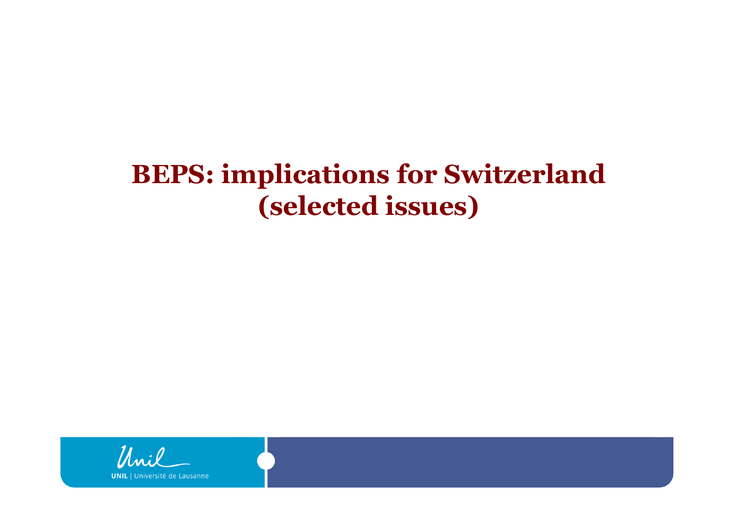## **BEPS: implications for Switzerland (selected issues)**

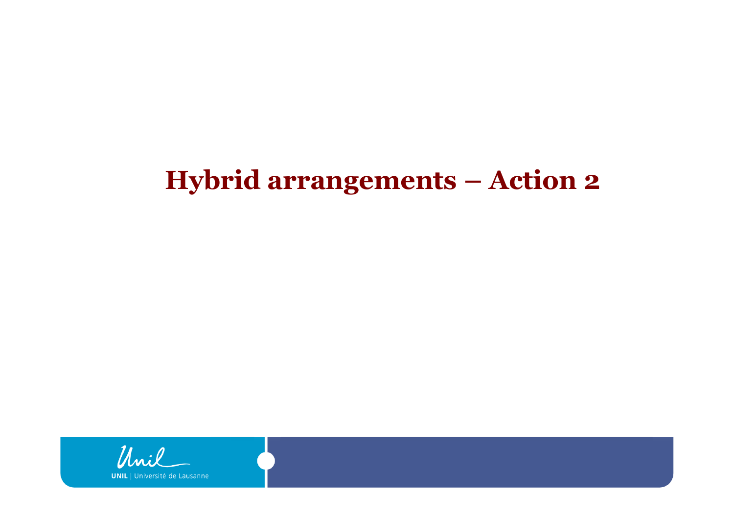## **Hybrid arrangements – Action 2**

Unil **UNIL** | Université de Lausanne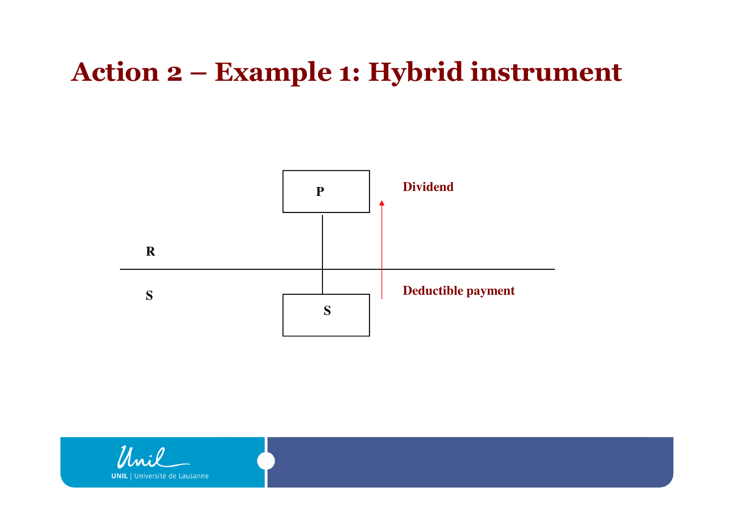## **Action 2 – Example 1: Hybrid instrument**



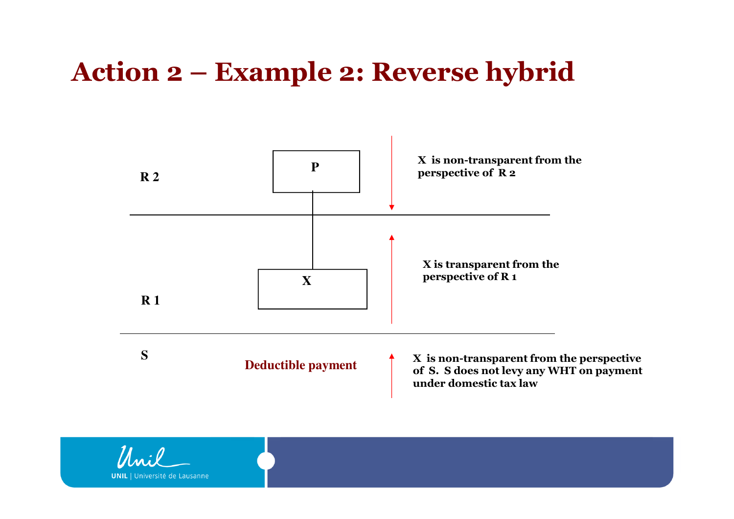## **Action 2 – Example 2: Reverse hybrid**



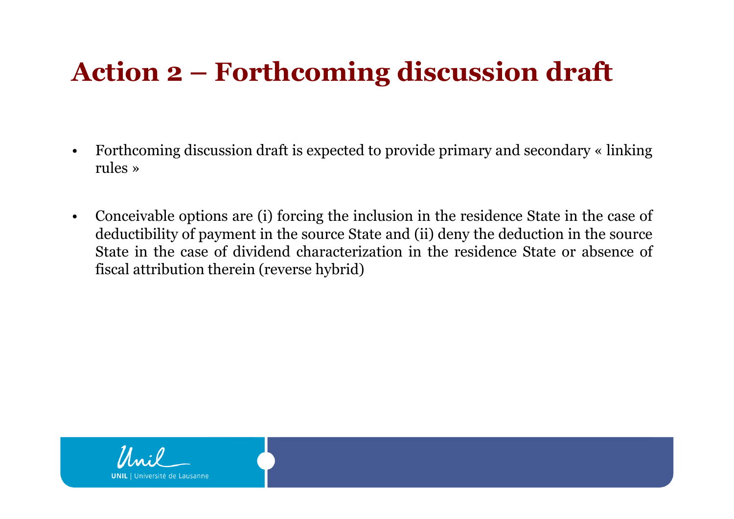## **Action 2 – Forthcoming discussion draft**

- $\bullet$  Forthcoming discussion draft is expected to provide primary and secondary « linking rules »
- • Conceivable options are (i) forcing the inclusion in the residence State in the case of deductibility of payment in the source State and (ii) deny the deduction in the source State in the case of dividend characterization in the residence State or absence of fiscal attribution therein (reverse hybrid)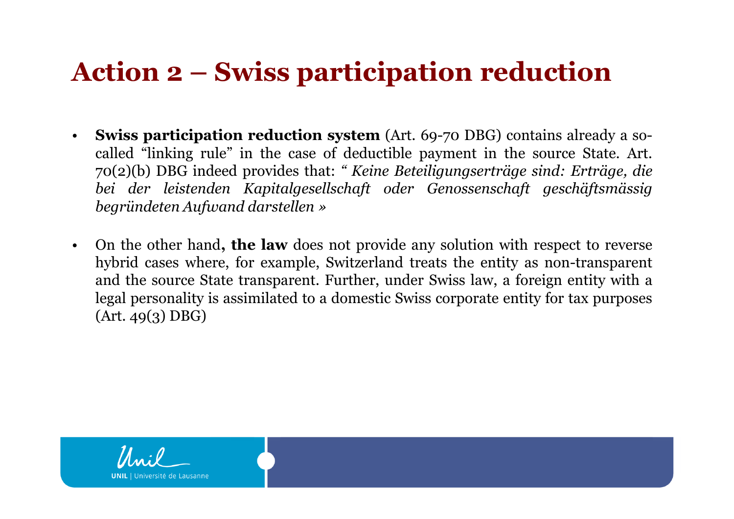## **Action 2 – Swiss participation reduction**

- •**Swiss participation reduction system** (Art. 69-70 DBG) contains already a so-<br>called "linking rule" in the case of deductible payment in the source State Art called "linking rule" in the case of deductible payment in the source State. Art. 70(2)(b) DBG indeed provides that: *" Keine Beteiligungserträge sind: Erträge, die bei der leistenden Kapitalgesellschaft oder Genossenschaft geschäftsmässig begründeten Aufwand darstellen »*
- $\bullet$  On the other hand**, the law** does not provide any solution with respect to reverse hybrid cases where, for example, Switzerland treats the entity as non-transparent and the source State transparent. Further, under Swiss law, <sup>a</sup> foreign entity with <sup>a</sup> legal personality is assimilated to <sup>a</sup> domestic Swiss corporate entity for tax purposes (Art. 49(3) DBG)

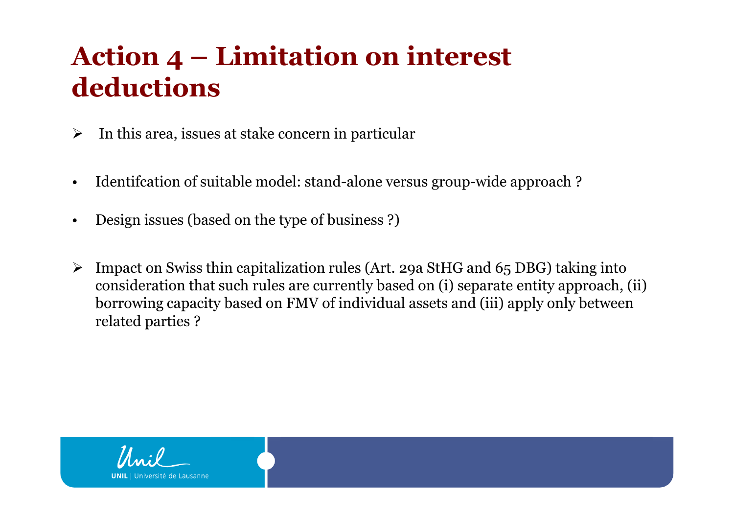## **Action 4 – Limitation on interest deductions**

- $\blacktriangleright$ In this area, issues at stake concern in particular
- •Identifcation of suitable model: stand-alone versus group-wide approach ?
- •Design issues (based on the type of business ?)
- $\blacktriangleright$  Impact on Swiss thin capitalization rules (Art. 29a StHG and 65 DBG) taking into consideration that such rules are currently based on (i) separate entity approach, (ii) borrowing capacity based on FMV of individual assets and (iii) apply only between related parties ?

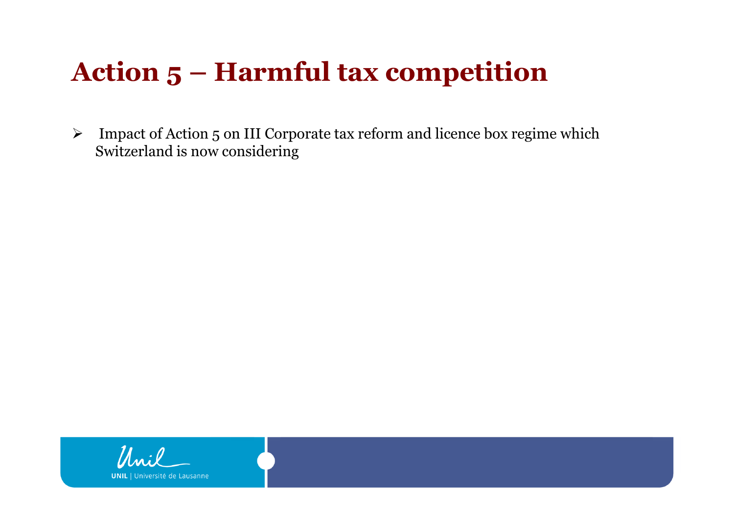## **Action 5 – Harmful tax competition**

 $\blacktriangleright$  Impact of Action 5 on III Corporate tax reform and licence box regime which Switzerland is now considering

Lausanne